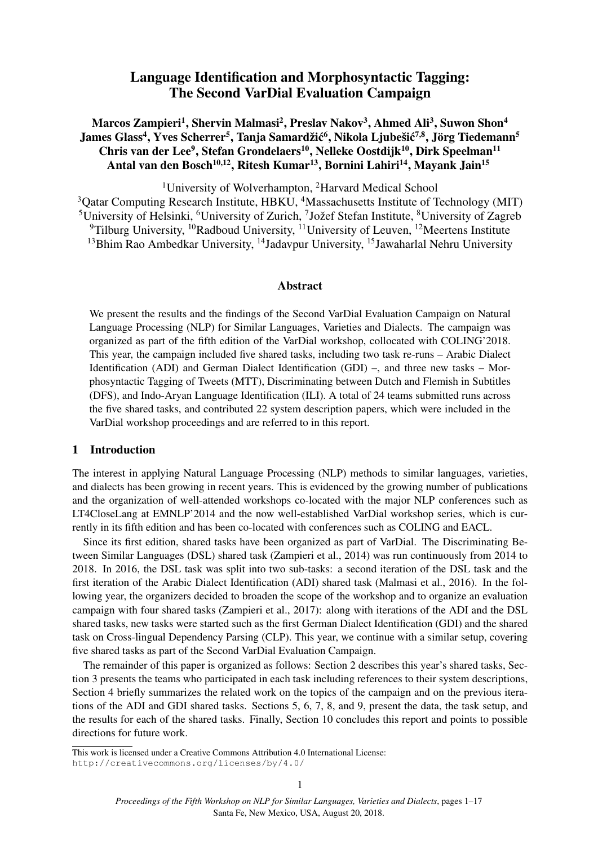# Language Identification and Morphosyntactic Tagging: The Second VarDial Evaluation Campaign

## Marcos Zampieri<sup>1</sup>, Shervin Malmasi<sup>2</sup>, Preslav Nakov<sup>3</sup>, Ahmed Ali<sup>3</sup>, Suwon Shon<sup>4</sup> James Glass<sup>4</sup>, Yves Scherrer<sup>5</sup>, Tanja Samardžić<sup>6</sup>, Nikola Ljubešić<sup>7,8</sup>, Jörg Tiedemann<sup>5</sup> Chris van der Lee<sup>9</sup>, Stefan Grondelaers<sup>10</sup>, Nelleke Oostdijk<sup>10</sup>, Dirk Speelman<sup>11</sup> Antal van den Bosch<sup>10,12</sup>, Ritesh Kumar<sup>13</sup>, Bornini Lahiri<sup>14</sup>, Mayank Jain<sup>15</sup>

<sup>1</sup>University of Wolverhampton, <sup>2</sup>Harvard Medical School <sup>3</sup>Qatar Computing Research Institute, HBKU, <sup>4</sup>Massachusetts Institute of Technology (MIT) <sup>5</sup>University of Helsinki, <sup>6</sup>University of Zurich, <sup>7</sup>Jožef Stefan Institute, <sup>8</sup>University of Zagreb  $9$ Tilburg University,  $10R$ adboud University,  $11$ University of Leuven,  $12$ Meertens Institute <sup>13</sup>Bhim Rao Ambedkar University, <sup>14</sup>Jadavpur University, <sup>15</sup>Jawaharlal Nehru University

### Abstract

We present the results and the findings of the Second VarDial Evaluation Campaign on Natural Language Processing (NLP) for Similar Languages, Varieties and Dialects. The campaign was organized as part of the fifth edition of the VarDial workshop, collocated with COLING'2018. This year, the campaign included five shared tasks, including two task re-runs – Arabic Dialect Identification (ADI) and German Dialect Identification (GDI) –, and three new tasks – Morphosyntactic Tagging of Tweets (MTT), Discriminating between Dutch and Flemish in Subtitles (DFS), and Indo-Aryan Language Identification (ILI). A total of 24 teams submitted runs across the five shared tasks, and contributed 22 system description papers, which were included in the VarDial workshop proceedings and are referred to in this report.

## 1 Introduction

The interest in applying Natural Language Processing (NLP) methods to similar languages, varieties, and dialects has been growing in recent years. This is evidenced by the growing number of publications and the organization of well-attended workshops co-located with the major NLP conferences such as LT4CloseLang at EMNLP'2014 and the now well-established VarDial workshop series, which is currently in its fifth edition and has been co-located with conferences such as COLING and EACL.

Since its first edition, shared tasks have been organized as part of VarDial. The Discriminating Between Similar Languages (DSL) shared task (Zampieri et al., 2014) was run continuously from 2014 to 2018. In 2016, the DSL task was split into two sub-tasks: a second iteration of the DSL task and the first iteration of the Arabic Dialect Identification (ADI) shared task (Malmasi et al., 2016). In the following year, the organizers decided to broaden the scope of the workshop and to organize an evaluation campaign with four shared tasks (Zampieri et al., 2017): along with iterations of the ADI and the DSL shared tasks, new tasks were started such as the first German Dialect Identification (GDI) and the shared task on Cross-lingual Dependency Parsing (CLP). This year, we continue with a similar setup, covering five shared tasks as part of the Second VarDial Evaluation Campaign.

The remainder of this paper is organized as follows: Section 2 describes this year's shared tasks, Section 3 presents the teams who participated in each task including references to their system descriptions, Section 4 briefly summarizes the related work on the topics of the campaign and on the previous iterations of the ADI and GDI shared tasks. Sections 5, 6, 7, 8, and 9, present the data, the task setup, and the results for each of the shared tasks. Finally, Section 10 concludes this report and points to possible directions for future work.

This work is licensed under a Creative Commons Attribution 4.0 International License: http://creativecommons.org/licenses/by/4.0/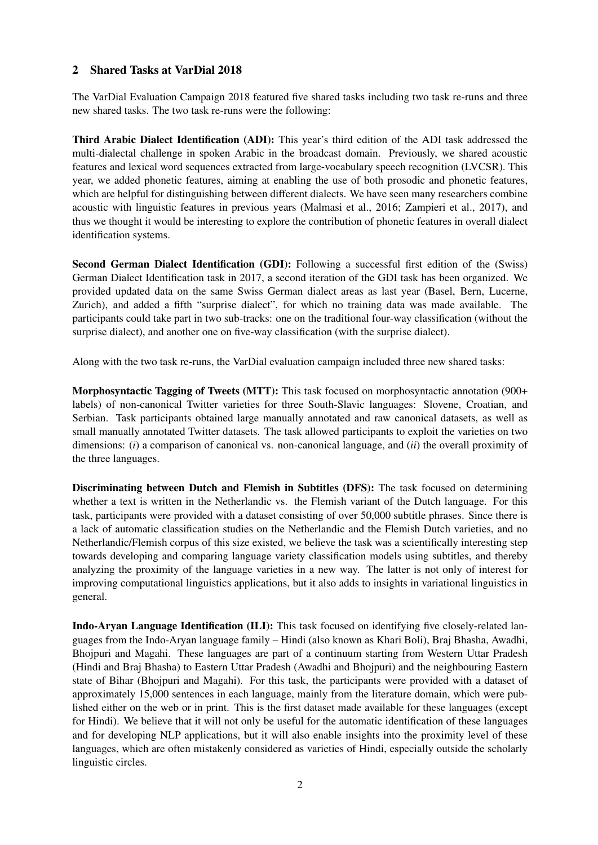## 2 Shared Tasks at VarDial 2018

The VarDial Evaluation Campaign 2018 featured five shared tasks including two task re-runs and three new shared tasks. The two task re-runs were the following:

Third Arabic Dialect Identification (ADI): This year's third edition of the ADI task addressed the multi-dialectal challenge in spoken Arabic in the broadcast domain. Previously, we shared acoustic features and lexical word sequences extracted from large-vocabulary speech recognition (LVCSR). This year, we added phonetic features, aiming at enabling the use of both prosodic and phonetic features, which are helpful for distinguishing between different dialects. We have seen many researchers combine acoustic with linguistic features in previous years (Malmasi et al., 2016; Zampieri et al., 2017), and thus we thought it would be interesting to explore the contribution of phonetic features in overall dialect identification systems.

Second German Dialect Identification (GDI): Following a successful first edition of the (Swiss) German Dialect Identification task in 2017, a second iteration of the GDI task has been organized. We provided updated data on the same Swiss German dialect areas as last year (Basel, Bern, Lucerne, Zurich), and added a fifth "surprise dialect", for which no training data was made available. The participants could take part in two sub-tracks: one on the traditional four-way classification (without the surprise dialect), and another one on five-way classification (with the surprise dialect).

Along with the two task re-runs, the VarDial evaluation campaign included three new shared tasks:

Morphosyntactic Tagging of Tweets (MTT): This task focused on morphosyntactic annotation (900+ labels) of non-canonical Twitter varieties for three South-Slavic languages: Slovene, Croatian, and Serbian. Task participants obtained large manually annotated and raw canonical datasets, as well as small manually annotated Twitter datasets. The task allowed participants to exploit the varieties on two dimensions: (*i*) a comparison of canonical vs. non-canonical language, and (*ii*) the overall proximity of the three languages.

Discriminating between Dutch and Flemish in Subtitles (DFS): The task focused on determining whether a text is written in the Netherlandic vs. the Flemish variant of the Dutch language. For this task, participants were provided with a dataset consisting of over 50,000 subtitle phrases. Since there is a lack of automatic classification studies on the Netherlandic and the Flemish Dutch varieties, and no Netherlandic/Flemish corpus of this size existed, we believe the task was a scientifically interesting step towards developing and comparing language variety classification models using subtitles, and thereby analyzing the proximity of the language varieties in a new way. The latter is not only of interest for improving computational linguistics applications, but it also adds to insights in variational linguistics in general.

Indo-Aryan Language Identification (ILI): This task focused on identifying five closely-related languages from the Indo-Aryan language family – Hindi (also known as Khari Boli), Braj Bhasha, Awadhi, Bhojpuri and Magahi. These languages are part of a continuum starting from Western Uttar Pradesh (Hindi and Braj Bhasha) to Eastern Uttar Pradesh (Awadhi and Bhojpuri) and the neighbouring Eastern state of Bihar (Bhojpuri and Magahi). For this task, the participants were provided with a dataset of approximately 15,000 sentences in each language, mainly from the literature domain, which were published either on the web or in print. This is the first dataset made available for these languages (except for Hindi). We believe that it will not only be useful for the automatic identification of these languages and for developing NLP applications, but it will also enable insights into the proximity level of these languages, which are often mistakenly considered as varieties of Hindi, especially outside the scholarly linguistic circles.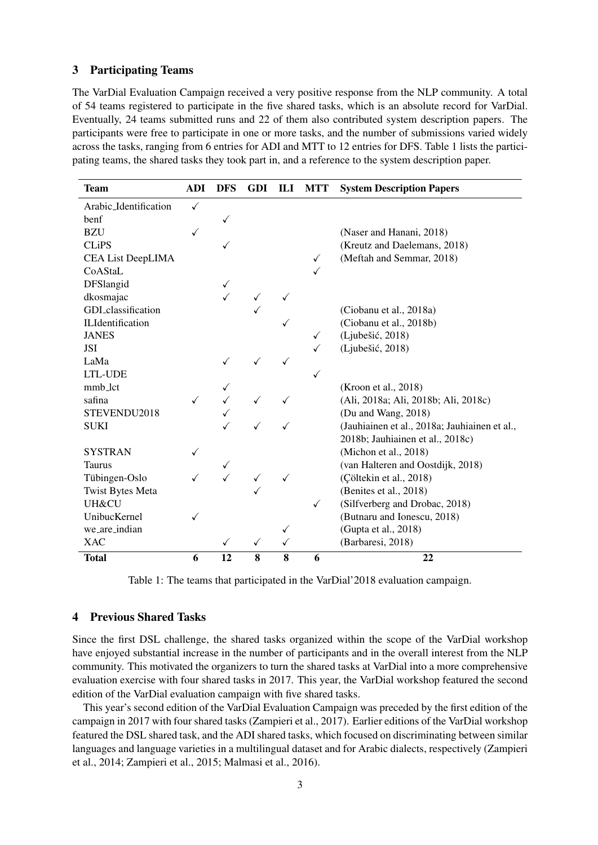#### 3 Participating Teams

The VarDial Evaluation Campaign received a very positive response from the NLP community. A total of 54 teams registered to participate in the five shared tasks, which is an absolute record for VarDial. Eventually, 24 teams submitted runs and 22 of them also contributed system description papers. The participants were free to participate in one or more tasks, and the number of submissions varied widely across the tasks, ranging from 6 entries for ADI and MTT to 12 entries for DFS. Table 1 lists the participating teams, the shared tasks they took part in, and a reference to the system description paper.

| <b>Team</b>              | <b>ADI</b> | <b>DFS</b> | <b>GDI</b> | ILI | <b>MTT</b>   | <b>System Description Papers</b>              |
|--------------------------|------------|------------|------------|-----|--------------|-----------------------------------------------|
| Arabic_Identification    |            |            |            |     |              |                                               |
| benf                     |            |            |            |     |              |                                               |
| <b>BZU</b>               |            |            |            |     |              | (Naser and Hanani, 2018)                      |
| <b>CLiPS</b>             |            |            |            |     |              | (Kreutz and Daelemans, 2018)                  |
| <b>CEA List DeepLIMA</b> |            |            |            |     | $\checkmark$ | (Meftah and Semmar, 2018)                     |
| CoAStaL                  |            |            |            |     |              |                                               |
| DFSlangid                |            | ✓          |            |     |              |                                               |
| dkosmajac                |            |            |            |     |              |                                               |
| GDI_classification       |            |            |            |     |              | (Ciobanu et al., 2018a)                       |
| <b>ILIdentification</b>  |            |            |            |     |              | (Ciobanu et al., 2018b)                       |
| <b>JANES</b>             |            |            |            |     | ✓            | (Ljubešić, 2018)                              |
| <b>JSI</b>               |            |            |            |     |              | (Ljubešić, 2018)                              |
| LaMa                     |            |            |            |     |              |                                               |
| LTL-UDE                  |            |            |            |     | $\checkmark$ |                                               |
| mmb_lct                  |            |            |            |     |              | (Kroon et al., 2018)                          |
| safina                   |            |            |            |     |              | (Ali, 2018a; Ali, 2018b; Ali, 2018c)          |
| STEVENDU2018             |            |            |            |     |              | (Du and Wang, 2018)                           |
| <b>SUKI</b>              |            |            |            |     |              | (Jauhiainen et al., 2018a; Jauhiainen et al., |
|                          |            |            |            |     |              | 2018b; Jauhiainen et al., 2018c)              |
| <b>SYSTRAN</b>           |            |            |            |     |              | (Michon et al., 2018)                         |
| <b>Taurus</b>            |            | ✓          |            |     |              | (van Halteren and Oostdijk, 2018)             |
| Tübingen-Oslo            |            |            |            |     |              | (Çöltekin et al., 2018)                       |
| <b>Twist Bytes Meta</b>  |            |            |            |     |              | (Benites et al., 2018)                        |
| <b>UH&amp;CU</b>         |            |            |            |     | ✓            | (Silfverberg and Drobac, 2018)                |
| UnibucKernel             |            |            |            |     |              | (Butnaru and Ionescu, 2018)                   |
| we_are_indian            |            |            |            | ✓   |              | (Gupta et al., 2018)                          |
| <b>XAC</b>               |            | ✓          | ✓          | ✓   |              | (Barbaresi, 2018)                             |
| <b>Total</b>             | 6          | 12         | 8          | 8   | 6            | 22                                            |

Table 1: The teams that participated in the VarDial'2018 evaluation campaign.

## 4 Previous Shared Tasks

Since the first DSL challenge, the shared tasks organized within the scope of the VarDial workshop have enjoyed substantial increase in the number of participants and in the overall interest from the NLP community. This motivated the organizers to turn the shared tasks at VarDial into a more comprehensive evaluation exercise with four shared tasks in 2017. This year, the VarDial workshop featured the second edition of the VarDial evaluation campaign with five shared tasks.

This year's second edition of the VarDial Evaluation Campaign was preceded by the first edition of the campaign in 2017 with four shared tasks (Zampieri et al., 2017). Earlier editions of the VarDial workshop featured the DSL shared task, and the ADI shared tasks, which focused on discriminating between similar languages and language varieties in a multilingual dataset and for Arabic dialects, respectively (Zampieri et al., 2014; Zampieri et al., 2015; Malmasi et al., 2016).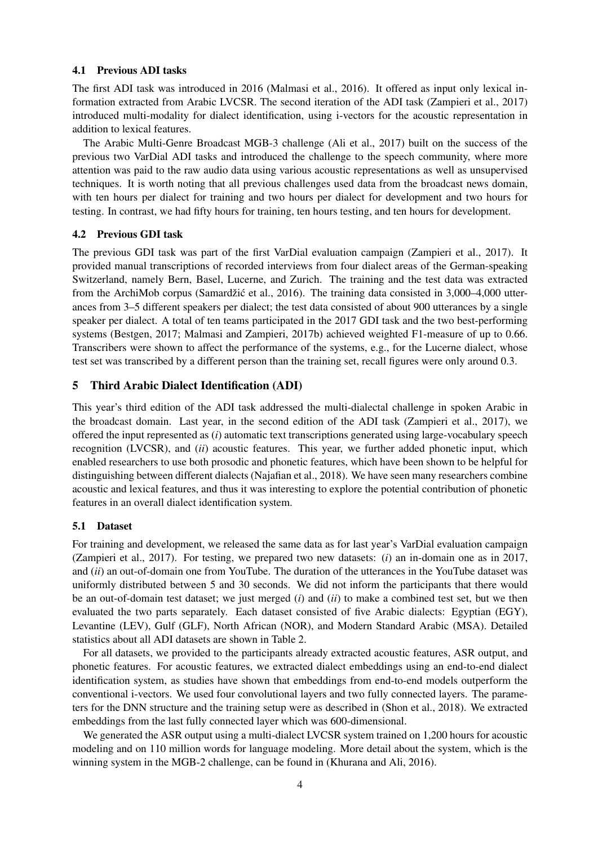#### 4.1 Previous ADI tasks

The first ADI task was introduced in 2016 (Malmasi et al., 2016). It offered as input only lexical information extracted from Arabic LVCSR. The second iteration of the ADI task (Zampieri et al., 2017) introduced multi-modality for dialect identification, using i-vectors for the acoustic representation in addition to lexical features.

The Arabic Multi-Genre Broadcast MGB-3 challenge (Ali et al., 2017) built on the success of the previous two VarDial ADI tasks and introduced the challenge to the speech community, where more attention was paid to the raw audio data using various acoustic representations as well as unsupervised techniques. It is worth noting that all previous challenges used data from the broadcast news domain, with ten hours per dialect for training and two hours per dialect for development and two hours for testing. In contrast, we had fifty hours for training, ten hours testing, and ten hours for development.

#### 4.2 Previous GDI task

The previous GDI task was part of the first VarDial evaluation campaign (Zampieri et al., 2017). It provided manual transcriptions of recorded interviews from four dialect areas of the German-speaking Switzerland, namely Bern, Basel, Lucerne, and Zurich. The training and the test data was extracted from the ArchiMob corpus (Samardžić et al., 2016). The training data consisted in  $3,000-4,000$  utterances from 3–5 different speakers per dialect; the test data consisted of about 900 utterances by a single speaker per dialect. A total of ten teams participated in the 2017 GDI task and the two best-performing systems (Bestgen, 2017; Malmasi and Zampieri, 2017b) achieved weighted F1-measure of up to 0.66. Transcribers were shown to affect the performance of the systems, e.g., for the Lucerne dialect, whose test set was transcribed by a different person than the training set, recall figures were only around 0.3.

## 5 Third Arabic Dialect Identification (ADI)

This year's third edition of the ADI task addressed the multi-dialectal challenge in spoken Arabic in the broadcast domain. Last year, in the second edition of the ADI task (Zampieri et al., 2017), we offered the input represented as (*i*) automatic text transcriptions generated using large-vocabulary speech recognition (LVCSR), and (*ii*) acoustic features. This year, we further added phonetic input, which enabled researchers to use both prosodic and phonetic features, which have been shown to be helpful for distinguishing between different dialects (Najafian et al., 2018). We have seen many researchers combine acoustic and lexical features, and thus it was interesting to explore the potential contribution of phonetic features in an overall dialect identification system.

#### 5.1 Dataset

For training and development, we released the same data as for last year's VarDial evaluation campaign (Zampieri et al., 2017). For testing, we prepared two new datasets: (*i*) an in-domain one as in 2017, and (*ii*) an out-of-domain one from YouTube. The duration of the utterances in the YouTube dataset was uniformly distributed between 5 and 30 seconds. We did not inform the participants that there would be an out-of-domain test dataset; we just merged (*i*) and (*ii*) to make a combined test set, but we then evaluated the two parts separately. Each dataset consisted of five Arabic dialects: Egyptian (EGY), Levantine (LEV), Gulf (GLF), North African (NOR), and Modern Standard Arabic (MSA). Detailed statistics about all ADI datasets are shown in Table 2.

For all datasets, we provided to the participants already extracted acoustic features, ASR output, and phonetic features. For acoustic features, we extracted dialect embeddings using an end-to-end dialect identification system, as studies have shown that embeddings from end-to-end models outperform the conventional i-vectors. We used four convolutional layers and two fully connected layers. The parameters for the DNN structure and the training setup were as described in (Shon et al., 2018). We extracted embeddings from the last fully connected layer which was 600-dimensional.

We generated the ASR output using a multi-dialect LVCSR system trained on 1,200 hours for acoustic modeling and on 110 million words for language modeling. More detail about the system, which is the winning system in the MGB-2 challenge, can be found in (Khurana and Ali, 2016).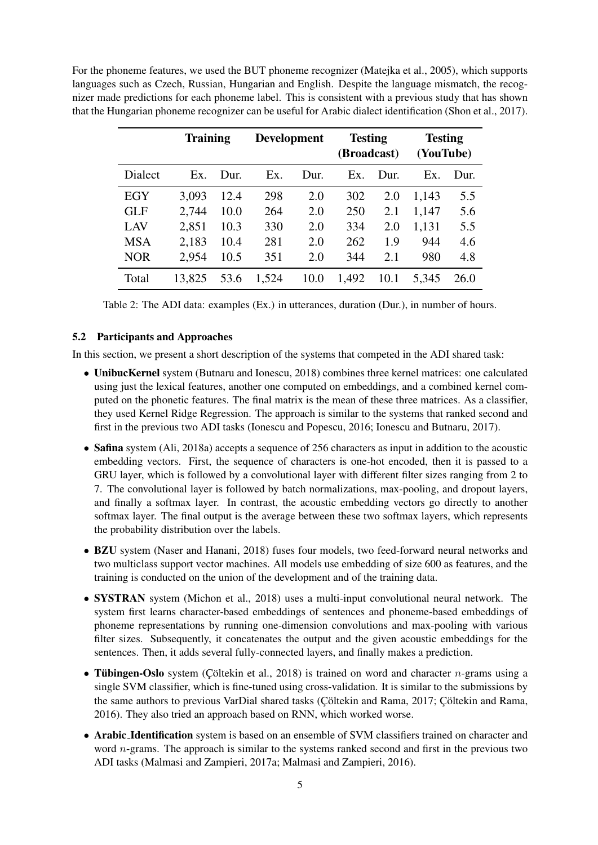For the phoneme features, we used the BUT phoneme recognizer (Matejka et al., 2005), which supports languages such as Czech, Russian, Hungarian and English. Despite the language mismatch, the recognizer made predictions for each phoneme label. This is consistent with a previous study that has shown that the Hungarian phoneme recognizer can be useful for Arabic dialect identification (Shon et al., 2017).

|                | <b>Training</b> |      | <b>Development</b> |      | <b>Testing</b><br>(Broadcast) |      | <b>Testing</b><br>(YouTube) |      |
|----------------|-----------------|------|--------------------|------|-------------------------------|------|-----------------------------|------|
| <b>Dialect</b> | Ex.             | Dur. | Ex.                | Dur. | Ex.                           | Dur. | Ex.                         | Dur. |
| EGY            | 3,093           | 12.4 | 298                | 2.0  | 302                           | 2.0  | 1,143                       | 5.5  |
| <b>GLF</b>     | 2,744           | 10.0 | 264                | 2.0  | 250                           | 2.1  | 1,147                       | 5.6  |
| LAV            | 2,851           | 10.3 | 330                | 2.0  | 334                           | 2.0  | 1,131                       | 5.5  |
| <b>MSA</b>     | 2,183           | 10.4 | 281                | 2.0  | 262                           | 1.9  | 944                         | 4.6  |
| <b>NOR</b>     | 2,954           | 10.5 | 351                | 2.0  | 344                           | 2.1  | 980                         | 4.8  |
| Total          | 13,825          | 53.6 | 1,524              | 10.0 | 1,492                         | 10.1 | 5,345                       | 26.0 |

Table 2: The ADI data: examples (Ex.) in utterances, duration (Dur.), in number of hours.

#### 5.2 Participants and Approaches

In this section, we present a short description of the systems that competed in the ADI shared task:

- UnibucKernel system (Butnaru and Ionescu, 2018) combines three kernel matrices: one calculated using just the lexical features, another one computed on embeddings, and a combined kernel computed on the phonetic features. The final matrix is the mean of these three matrices. As a classifier, they used Kernel Ridge Regression. The approach is similar to the systems that ranked second and first in the previous two ADI tasks (Ionescu and Popescu, 2016; Ionescu and Butnaru, 2017).
- Safina system (Ali, 2018a) accepts a sequence of 256 characters as input in addition to the acoustic embedding vectors. First, the sequence of characters is one-hot encoded, then it is passed to a GRU layer, which is followed by a convolutional layer with different filter sizes ranging from 2 to 7. The convolutional layer is followed by batch normalizations, max-pooling, and dropout layers, and finally a softmax layer. In contrast, the acoustic embedding vectors go directly to another softmax layer. The final output is the average between these two softmax layers, which represents the probability distribution over the labels.
- BZU system (Naser and Hanani, 2018) fuses four models, two feed-forward neural networks and two multiclass support vector machines. All models use embedding of size 600 as features, and the training is conducted on the union of the development and of the training data.
- SYSTRAN system (Michon et al., 2018) uses a multi-input convolutional neural network. The system first learns character-based embeddings of sentences and phoneme-based embeddings of phoneme representations by running one-dimension convolutions and max-pooling with various filter sizes. Subsequently, it concatenates the output and the given acoustic embeddings for the sentences. Then, it adds several fully-connected layers, and finally makes a prediction.
- Tübingen-Oslo system (Cöltekin et al., 2018) is trained on word and character *n*-grams using a single SVM classifier, which is fine-tuned using cross-validation. It is similar to the submissions by the same authors to previous VarDial shared tasks (Cöltekin and Rama, 2017; Cöltekin and Rama, 2016). They also tried an approach based on RNN, which worked worse.
- Arabic Identification system is based on an ensemble of SVM classifiers trained on character and word *n*-grams. The approach is similar to the systems ranked second and first in the previous two ADI tasks (Malmasi and Zampieri, 2017a; Malmasi and Zampieri, 2016).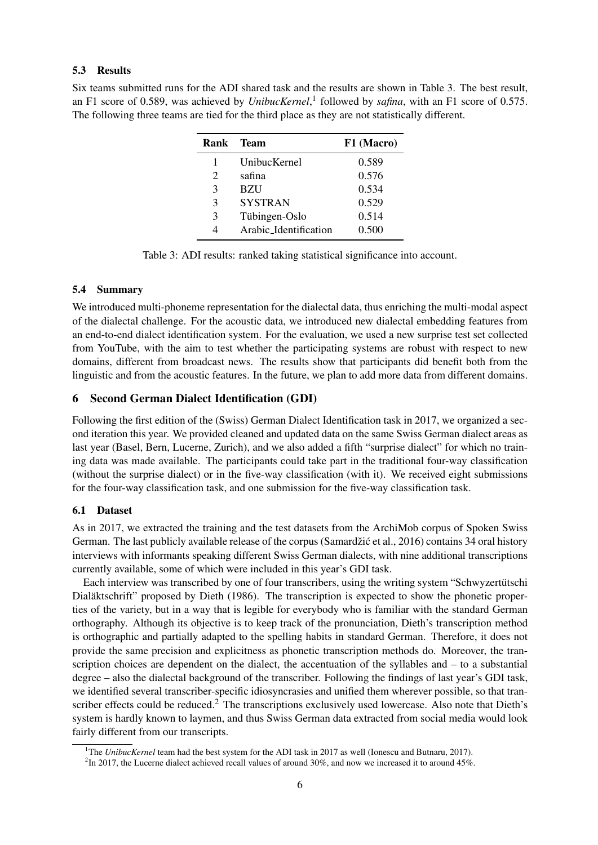Six teams submitted runs for the ADI shared task and the results are shown in Table 3. The best result, an F1 score of 0.589, was achieved by *UnibucKernel*, 1 followed by *safina*, with an F1 score of 0.575. The following three teams are tied for the third place as they are not statistically different.

| Rank          | <b>Team</b>           | F1 (Macro) |
|---------------|-----------------------|------------|
|               | UnibucKernel          | 0.589      |
| 2             | safina                | 0.576      |
| 3             | <b>BZU</b>            | 0.534      |
| 3             | <b>SYSTRAN</b>        | 0.529      |
| $\mathcal{E}$ | Tübingen-Oslo         | 0.514      |
|               | Arabic Identification | 0.500      |

Table 3: ADI results: ranked taking statistical significance into account.

#### 5.4 Summary

We introduced multi-phoneme representation for the dialectal data, thus enriching the multi-modal aspect of the dialectal challenge. For the acoustic data, we introduced new dialectal embedding features from an end-to-end dialect identification system. For the evaluation, we used a new surprise test set collected from YouTube, with the aim to test whether the participating systems are robust with respect to new domains, different from broadcast news. The results show that participants did benefit both from the linguistic and from the acoustic features. In the future, we plan to add more data from different domains.

## 6 Second German Dialect Identification (GDI)

Following the first edition of the (Swiss) German Dialect Identification task in 2017, we organized a second iteration this year. We provided cleaned and updated data on the same Swiss German dialect areas as last year (Basel, Bern, Lucerne, Zurich), and we also added a fifth "surprise dialect" for which no training data was made available. The participants could take part in the traditional four-way classification (without the surprise dialect) or in the five-way classification (with it). We received eight submissions for the four-way classification task, and one submission for the five-way classification task.

#### 6.1 Dataset

As in 2017, we extracted the training and the test datasets from the ArchiMob corpus of Spoken Swiss German. The last publicly available release of the corpus (Samardžić et al., 2016) contains 34 oral history interviews with informants speaking different Swiss German dialects, with nine additional transcriptions currently available, some of which were included in this year's GDI task.

Each interview was transcribed by one of four transcribers, using the writing system "Schwyzertütschi Dialäktschrift" proposed by Dieth (1986). The transcription is expected to show the phonetic properties of the variety, but in a way that is legible for everybody who is familiar with the standard German orthography. Although its objective is to keep track of the pronunciation, Dieth's transcription method is orthographic and partially adapted to the spelling habits in standard German. Therefore, it does not provide the same precision and explicitness as phonetic transcription methods do. Moreover, the transcription choices are dependent on the dialect, the accentuation of the syllables and – to a substantial degree – also the dialectal background of the transcriber. Following the findings of last year's GDI task, we identified several transcriber-specific idiosyncrasies and unified them wherever possible, so that transcriber effects could be reduced.<sup>2</sup> The transcriptions exclusively used lowercase. Also note that Dieth's system is hardly known to laymen, and thus Swiss German data extracted from social media would look fairly different from our transcripts.

<sup>&</sup>lt;sup>1</sup>The *UnibucKernel* team had the best system for the ADI task in 2017 as well (Ionescu and Butnaru, 2017).

 $^{2}$ In 2017, the Lucerne dialect achieved recall values of around 30%, and now we increased it to around 45%.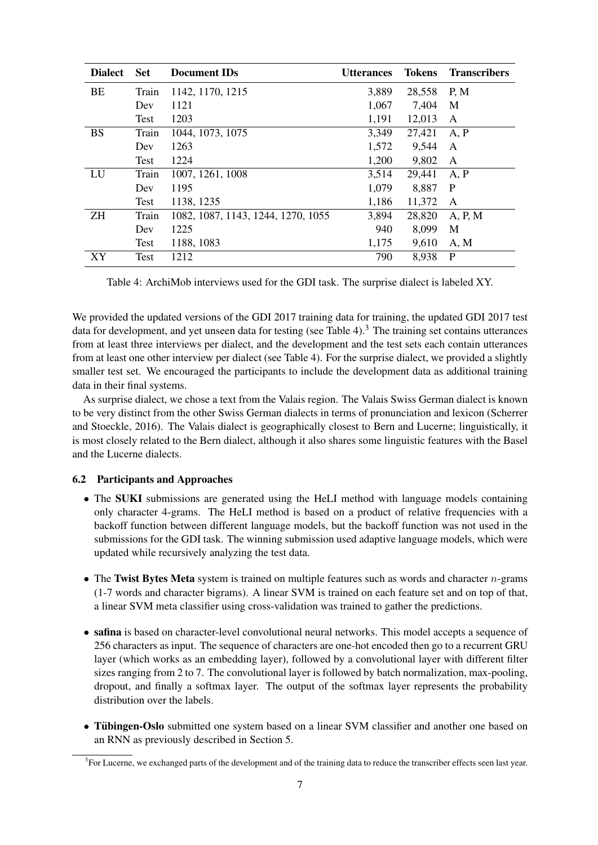| <b>Dialect</b> | <b>Set</b>  | <b>Document IDs</b>                | <b>Utterances</b> | Tokens | <b>Transcribers</b> |
|----------------|-------------|------------------------------------|-------------------|--------|---------------------|
| BE             | Train       | 1142, 1170, 1215                   | 3,889             | 28,558 | P, M                |
|                | Dev         | 1121                               | 1,067             | 7,404  | M                   |
|                | Test        | 1203                               | 1,191             | 12,013 | $\mathbf{A}$        |
| <b>BS</b>      | Train       | 1044, 1073, 1075                   | 3,349             | 27,421 | A, P                |
|                | Dev         | 1263                               | 1,572             | 9,544  | A                   |
|                | <b>Test</b> | 1224                               | 1,200             | 9,802  | $\mathbf{A}$        |
| LU             | Train       | 1007, 1261, 1008                   | 3,514             | 29,441 | A, P                |
|                | Dev         | 1195                               | 1,079             | 8,887  | P                   |
|                | Test        | 1138, 1235                         | 1,186             | 11,372 | A                   |
| ΖH             | Train       | 1082, 1087, 1143, 1244, 1270, 1055 | 3,894             | 28,820 | A, P, M             |
|                | Dev         | 1225                               | 940               | 8,099  | M                   |
|                | Test        | 1188, 1083                         | 1,175             | 9,610  | A, M                |
| XY             | Test        | 1212                               | 790               | 8,938  | P                   |

Table 4: ArchiMob interviews used for the GDI task. The surprise dialect is labeled XY.

We provided the updated versions of the GDI 2017 training data for training, the updated GDI 2017 test data for development, and yet unseen data for testing (see Table 4).<sup>3</sup> The training set contains utterances from at least three interviews per dialect, and the development and the test sets each contain utterances from at least one other interview per dialect (see Table 4). For the surprise dialect, we provided a slightly smaller test set. We encouraged the participants to include the development data as additional training data in their final systems.

As surprise dialect, we chose a text from the Valais region. The Valais Swiss German dialect is known to be very distinct from the other Swiss German dialects in terms of pronunciation and lexicon (Scherrer and Stoeckle, 2016). The Valais dialect is geographically closest to Bern and Lucerne; linguistically, it is most closely related to the Bern dialect, although it also shares some linguistic features with the Basel and the Lucerne dialects.

## 6.2 Participants and Approaches

- The SUKI submissions are generated using the HeLI method with language models containing only character 4-grams. The HeLI method is based on a product of relative frequencies with a backoff function between different language models, but the backoff function was not used in the submissions for the GDI task. The winning submission used adaptive language models, which were updated while recursively analyzing the test data.
- The Twist Bytes Meta system is trained on multiple features such as words and character  $n$ -grams (1-7 words and character bigrams). A linear SVM is trained on each feature set and on top of that, a linear SVM meta classifier using cross-validation was trained to gather the predictions.
- safina is based on character-level convolutional neural networks. This model accepts a sequence of 256 characters as input. The sequence of characters are one-hot encoded then go to a recurrent GRU layer (which works as an embedding layer), followed by a convolutional layer with different filter sizes ranging from 2 to 7. The convolutional layer is followed by batch normalization, max-pooling, dropout, and finally a softmax layer. The output of the softmax layer represents the probability distribution over the labels.
- Tübingen-Oslo submitted one system based on a linear SVM classifier and another one based on an RNN as previously described in Section 5.

<sup>&</sup>lt;sup>3</sup> For Lucerne, we exchanged parts of the development and of the training data to reduce the transcriber effects seen last year.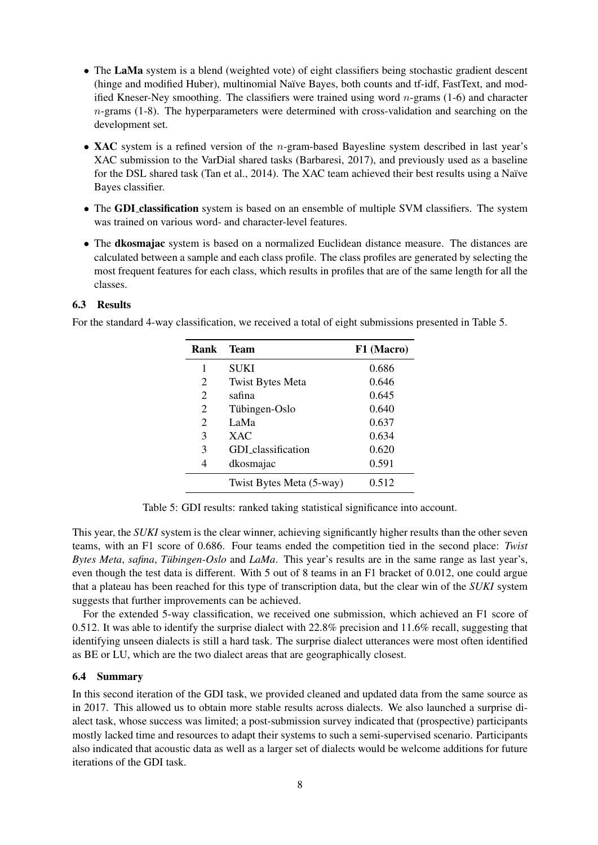- The LaMa system is a blend (weighted vote) of eight classifiers being stochastic gradient descent (hinge and modified Huber), multinomial Naïve Bayes, both counts and tf-idf, FastText, and modified Kneser-Ney smoothing. The classifiers were trained using word  $n$ -grams (1-6) and character  $n$ -grams (1-8). The hyperparameters were determined with cross-validation and searching on the development set.
- XAC system is a refined version of the *n*-gram-based Bayesline system described in last year's XAC submission to the VarDial shared tasks (Barbaresi, 2017), and previously used as a baseline for the DSL shared task (Tan et al., 2014). The XAC team achieved their best results using a Naïve Bayes classifier.
- The GDI classification system is based on an ensemble of multiple SVM classifiers. The system was trained on various word- and character-level features.
- The dkosmajac system is based on a normalized Euclidean distance measure. The distances are calculated between a sample and each class profile. The class profiles are generated by selecting the most frequent features for each class, which results in profiles that are of the same length for all the classes.

For the standard 4-way classification, we received a total of eight submissions presented in Table 5.

| Rank           | <b>Team</b>              | F1 (Macro) |
|----------------|--------------------------|------------|
| 1              | SUKI                     | 0.686      |
| 2              | <b>Twist Bytes Meta</b>  | 0.646      |
| $\overline{2}$ | safina                   | 0.645      |
| 2              | Tübingen-Oslo            | 0.640      |
| $\overline{2}$ | LaMa                     | 0.637      |
| 3              | <b>XAC</b>               | 0.634      |
| 3              | GDI classification       | 0.620      |
| 4              | dkosmajac                | 0.591      |
|                | Twist Bytes Meta (5-way) | 0.512      |

Table 5: GDI results: ranked taking statistical significance into account.

This year, the *SUKI* system is the clear winner, achieving significantly higher results than the other seven teams, with an F1 score of 0.686. Four teams ended the competition tied in the second place: *Twist Bytes Meta, safina, Tübingen-Oslo* and *LaMa*. This year's results are in the same range as last year's, even though the test data is different. With 5 out of 8 teams in an F1 bracket of 0.012, one could argue that a plateau has been reached for this type of transcription data, but the clear win of the *SUKI* system suggests that further improvements can be achieved.

For the extended 5-way classification, we received one submission, which achieved an F1 score of 0.512. It was able to identify the surprise dialect with 22.8% precision and 11.6% recall, suggesting that identifying unseen dialects is still a hard task. The surprise dialect utterances were most often identified as BE or LU, which are the two dialect areas that are geographically closest.

#### 6.4 Summary

In this second iteration of the GDI task, we provided cleaned and updated data from the same source as in 2017. This allowed us to obtain more stable results across dialects. We also launched a surprise dialect task, whose success was limited; a post-submission survey indicated that (prospective) participants mostly lacked time and resources to adapt their systems to such a semi-supervised scenario. Participants also indicated that acoustic data as well as a larger set of dialects would be welcome additions for future iterations of the GDI task.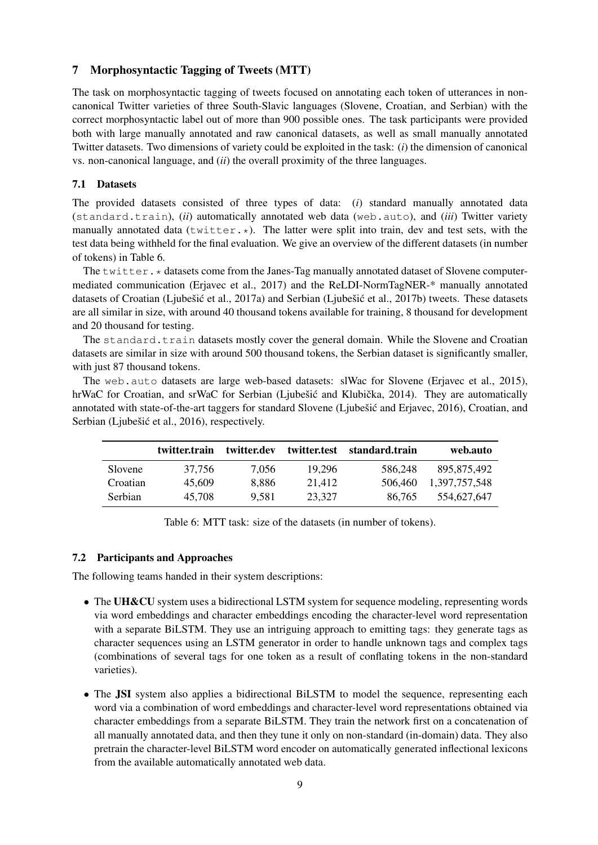### 7 Morphosyntactic Tagging of Tweets (MTT)

The task on morphosyntactic tagging of tweets focused on annotating each token of utterances in noncanonical Twitter varieties of three South-Slavic languages (Slovene, Croatian, and Serbian) with the correct morphosyntactic label out of more than 900 possible ones. The task participants were provided both with large manually annotated and raw canonical datasets, as well as small manually annotated Twitter datasets. Two dimensions of variety could be exploited in the task: (*i*) the dimension of canonical vs. non-canonical language, and (*ii*) the overall proximity of the three languages.

#### 7.1 Datasets

The provided datasets consisted of three types of data: (*i*) standard manually annotated data (standard.train), (*ii*) automatically annotated web data (web.auto), and (*iii*) Twitter variety manually annotated data (twitter. $\star$ ). The latter were split into train, dev and test sets, with the test data being withheld for the final evaluation. We give an overview of the different datasets (in number of tokens) in Table 6.

The  $t$ witter.  $\star$  datasets come from the Janes-Tag manually annotated dataset of Slovene computermediated communication (Erjavec et al., 2017) and the ReLDI-NormTagNER-\* manually annotated datasets of Croatian (Ljubešić et al., 2017a) and Serbian (Ljubešić et al., 2017b) tweets. These datasets are all similar in size, with around 40 thousand tokens available for training, 8 thousand for development and 20 thousand for testing.

The standard.train datasets mostly cover the general domain. While the Slovene and Croatian datasets are similar in size with around 500 thousand tokens, the Serbian dataset is significantly smaller, with just 87 thousand tokens.

The web.auto datasets are large web-based datasets: slWac for Slovene (Erjavec et al., 2015), hrWaC for Croatian, and srWaC for Serbian (Ljubešić and Klubička, 2014). They are automatically annotated with state-of-the-art taggers for standard Slovene (Ljubešić and Erjavec, 2016), Croatian, and Serbian (Ljubešić et al., 2016), respectively.

|                | twitter.train | twitter.dev | twitter.test | standard.train | web.auto      |
|----------------|---------------|-------------|--------------|----------------|---------------|
| Slovene        | 37.756        | 7.056       | 19.296       | 586.248        | 895.875.492   |
| Croatian       | 45,609        | 8.886       | 21.412       | 506.460        | 1,397,757,548 |
| <b>Serbian</b> | 45,708        | 9.581       | 23.327       | 86.765         | 554,627,647   |

Table 6: MTT task: size of the datasets (in number of tokens).

#### 7.2 Participants and Approaches

The following teams handed in their system descriptions:

- The UH&CU system uses a bidirectional LSTM system for sequence modeling, representing words via word embeddings and character embeddings encoding the character-level word representation with a separate BiLSTM. They use an intriguing approach to emitting tags: they generate tags as character sequences using an LSTM generator in order to handle unknown tags and complex tags (combinations of several tags for one token as a result of conflating tokens in the non-standard varieties).
- The JSI system also applies a bidirectional BiLSTM to model the sequence, representing each word via a combination of word embeddings and character-level word representations obtained via character embeddings from a separate BiLSTM. They train the network first on a concatenation of all manually annotated data, and then they tune it only on non-standard (in-domain) data. They also pretrain the character-level BiLSTM word encoder on automatically generated inflectional lexicons from the available automatically annotated web data.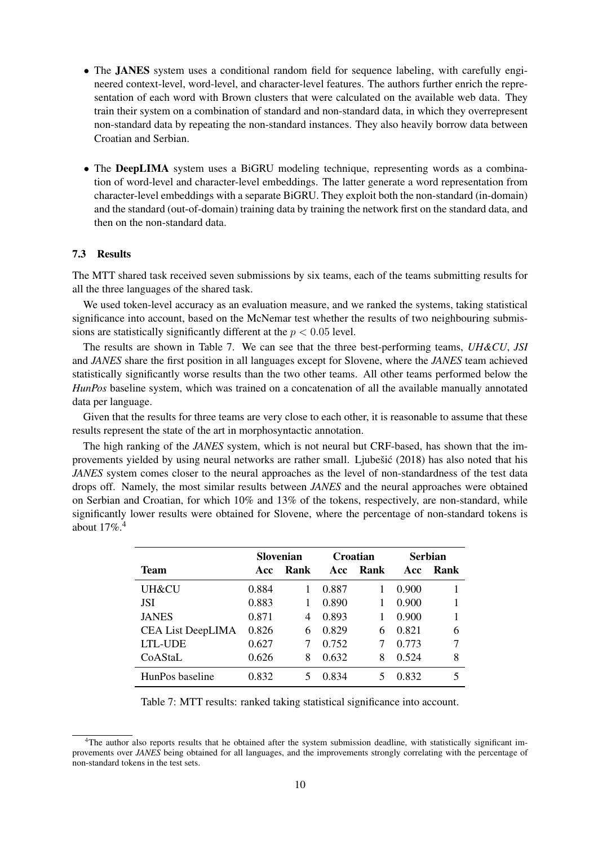- The JANES system uses a conditional random field for sequence labeling, with carefully engineered context-level, word-level, and character-level features. The authors further enrich the representation of each word with Brown clusters that were calculated on the available web data. They train their system on a combination of standard and non-standard data, in which they overrepresent non-standard data by repeating the non-standard instances. They also heavily borrow data between Croatian and Serbian.
- The DeepLIMA system uses a BiGRU modeling technique, representing words as a combination of word-level and character-level embeddings. The latter generate a word representation from character-level embeddings with a separate BiGRU. They exploit both the non-standard (in-domain) and the standard (out-of-domain) training data by training the network first on the standard data, and then on the non-standard data.

The MTT shared task received seven submissions by six teams, each of the teams submitting results for all the three languages of the shared task.

We used token-level accuracy as an evaluation measure, and we ranked the systems, taking statistical significance into account, based on the McNemar test whether the results of two neighbouring submissions are statistically significantly different at the  $p < 0.05$  level.

The results are shown in Table 7. We can see that the three best-performing teams, *UH&CU*, *JSI* and *JANES* share the first position in all languages except for Slovene, where the *JANES* team achieved statistically significantly worse results than the two other teams. All other teams performed below the *HunPos* baseline system, which was trained on a concatenation of all the available manually annotated data per language.

Given that the results for three teams are very close to each other, it is reasonable to assume that these results represent the state of the art in morphosyntactic annotation.

The high ranking of the *JANES* system, which is not neural but CRF-based, has shown that the improvements yielded by using neural networks are rather small. Ljubesić  $(2018)$  has also noted that his *JANES* system comes closer to the neural approaches as the level of non-standardness of the test data drops off. Namely, the most similar results between *JANES* and the neural approaches were obtained on Serbian and Croatian, for which 10% and 13% of the tokens, respectively, are non-standard, while significantly lower results were obtained for Slovene, where the percentage of non-standard tokens is about  $17\%$ <sup>4</sup>

|                          | Slovenian |      | Croatian |      | <b>Serbian</b> |      |
|--------------------------|-----------|------|----------|------|----------------|------|
| Team                     | Acc       | Rank | Acc      | Rank | Acc            | Rank |
| UH&CU                    | 0.884     |      | 0.887    |      | 0.900          |      |
| <b>JSI</b>               | 0.883     |      | 0.890    |      | 0.900          |      |
| <b>JANES</b>             | 0.871     | 4    | 0.893    |      | 0.900          |      |
| <b>CEA List DeepLIMA</b> | 0.826     | 6    | 0.829    | 6    | 0.821          | 6    |
| <b>LTL-UDE</b>           | 0.627     |      | 0.752    |      | 0.773          | 7    |
| CoAStaL                  | 0.626     | 8    | 0.632    | 8    | 0.524          | 8    |
| HunPos baseline          | 0.832     |      | 0.834    | 5    | 0.832          | 5    |

Table 7: MTT results: ranked taking statistical significance into account.

<sup>&</sup>lt;sup>4</sup>The author also reports results that he obtained after the system submission deadline, with statistically significant improvements over *JANES* being obtained for all languages, and the improvements strongly correlating with the percentage of non-standard tokens in the test sets.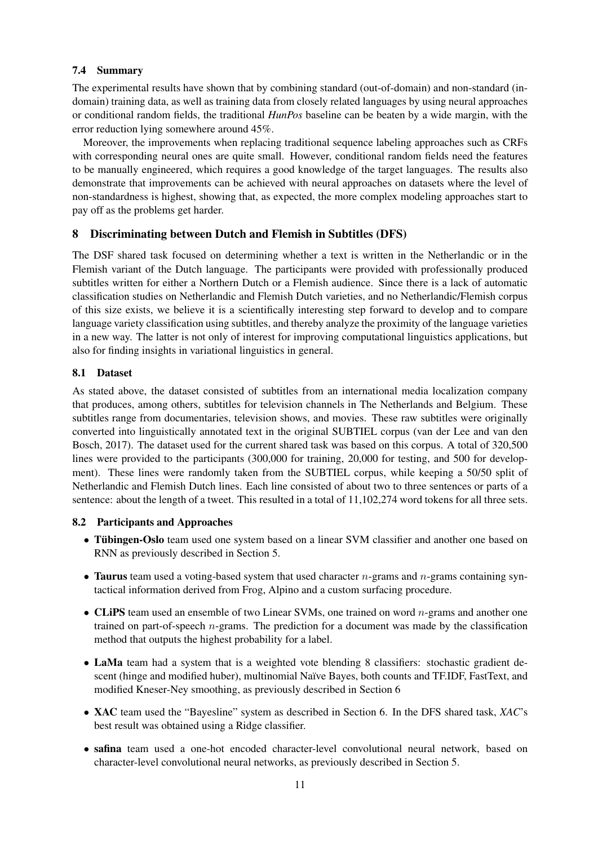#### 7.4 Summary

The experimental results have shown that by combining standard (out-of-domain) and non-standard (indomain) training data, as well as training data from closely related languages by using neural approaches or conditional random fields, the traditional *HunPos* baseline can be beaten by a wide margin, with the error reduction lying somewhere around 45%.

Moreover, the improvements when replacing traditional sequence labeling approaches such as CRFs with corresponding neural ones are quite small. However, conditional random fields need the features to be manually engineered, which requires a good knowledge of the target languages. The results also demonstrate that improvements can be achieved with neural approaches on datasets where the level of non-standardness is highest, showing that, as expected, the more complex modeling approaches start to pay off as the problems get harder.

## 8 Discriminating between Dutch and Flemish in Subtitles (DFS)

The DSF shared task focused on determining whether a text is written in the Netherlandic or in the Flemish variant of the Dutch language. The participants were provided with professionally produced subtitles written for either a Northern Dutch or a Flemish audience. Since there is a lack of automatic classification studies on Netherlandic and Flemish Dutch varieties, and no Netherlandic/Flemish corpus of this size exists, we believe it is a scientifically interesting step forward to develop and to compare language variety classification using subtitles, and thereby analyze the proximity of the language varieties in a new way. The latter is not only of interest for improving computational linguistics applications, but also for finding insights in variational linguistics in general.

## 8.1 Dataset

As stated above, the dataset consisted of subtitles from an international media localization company that produces, among others, subtitles for television channels in The Netherlands and Belgium. These subtitles range from documentaries, television shows, and movies. These raw subtitles were originally converted into linguistically annotated text in the original SUBTIEL corpus (van der Lee and van den Bosch, 2017). The dataset used for the current shared task was based on this corpus. A total of 320,500 lines were provided to the participants (300,000 for training, 20,000 for testing, and 500 for development). These lines were randomly taken from the SUBTIEL corpus, while keeping a 50/50 split of Netherlandic and Flemish Dutch lines. Each line consisted of about two to three sentences or parts of a sentence: about the length of a tweet. This resulted in a total of 11,102,274 word tokens for all three sets.

## 8.2 Participants and Approaches

- Tübingen-Oslo team used one system based on a linear SVM classifier and another one based on RNN as previously described in Section 5.
- Taurus team used a voting-based system that used character  $n$ -grams and  $n$ -grams containing syntactical information derived from Frog, Alpino and a custom surfacing procedure.
- CLiPS team used an ensemble of two Linear SVMs, one trained on word  $n$ -grams and another one trained on part-of-speech  $n$ -grams. The prediction for a document was made by the classification method that outputs the highest probability for a label.
- LaMa team had a system that is a weighted vote blending 8 classifiers: stochastic gradient descent (hinge and modified huber), multinomial Naïve Bayes, both counts and TF.IDF, FastText, and modified Kneser-Ney smoothing, as previously described in Section 6
- XAC team used the "Bayesline" system as described in Section 6. In the DFS shared task, *XAC*'s best result was obtained using a Ridge classifier.
- safina team used a one-hot encoded character-level convolutional neural network, based on character-level convolutional neural networks, as previously described in Section 5.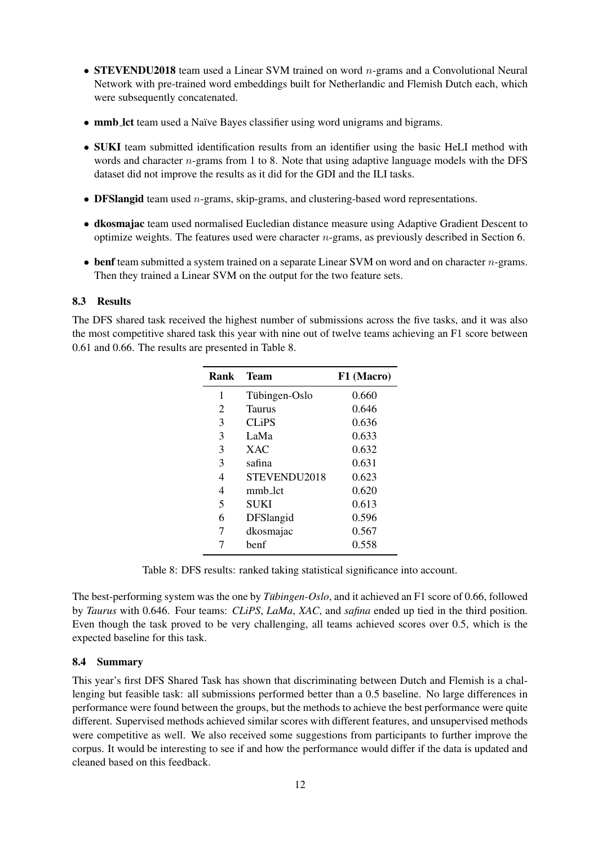- STEVENDU2018 team used a Linear SVM trained on word  $n$ -grams and a Convolutional Neural Network with pre-trained word embeddings built for Netherlandic and Flemish Dutch each, which were subsequently concatenated.
- mmb lct team used a Naïve Bayes classifier using word unigrams and bigrams.
- SUKI team submitted identification results from an identifier using the basic HeLI method with words and character *n*-grams from 1 to 8. Note that using adaptive language models with the DFS dataset did not improve the results as it did for the GDI and the ILI tasks.
- DFSlangid team used *n*-grams, skip-grams, and clustering-based word representations.
- dkosmajac team used normalised Eucledian distance measure using Adaptive Gradient Descent to optimize weights. The features used were character  $n$ -grams, as previously described in Section 6.
- benf team submitted a system trained on a separate Linear SVM on word and on character  $n$ -grams. Then they trained a Linear SVM on the output for the two feature sets.

The DFS shared task received the highest number of submissions across the five tasks, and it was also the most competitive shared task this year with nine out of twelve teams achieving an F1 score between 0.61 and 0.66. The results are presented in Table 8.

| Rank | <b>Team</b>   | F1 (Macro) |
|------|---------------|------------|
| 1    | Tübingen-Oslo | 0.660      |
| 2    | Taurus        | 0.646      |
| 3    | <b>CLiPS</b>  | 0.636      |
| 3    | LaMa          | 0.633      |
| 3    | XAC.          | 0.632      |
| 3    | safina        | 0.631      |
| 4    | STEVENDU2018  | 0.623      |
| 4    | mmb lct       | 0.620      |
| 5    | SUKI          | 0.613      |
| 6    | DFSlangid     | 0.596      |
| 7    | dkosmajac     | 0.567      |
|      | benf          | 0.558      |

Table 8: DFS results: ranked taking statistical significance into account.

The best-performing system was the one by *Tübingen-Oslo*, and it achieved an F1 score of 0.66, followed by *Taurus* with 0.646. Four teams: *CLiPS*, *LaMa*, *XAC*, and *safina* ended up tied in the third position. Even though the task proved to be very challenging, all teams achieved scores over 0.5, which is the expected baseline for this task.

## 8.4 Summary

This year's first DFS Shared Task has shown that discriminating between Dutch and Flemish is a challenging but feasible task: all submissions performed better than a 0.5 baseline. No large differences in performance were found between the groups, but the methods to achieve the best performance were quite different. Supervised methods achieved similar scores with different features, and unsupervised methods were competitive as well. We also received some suggestions from participants to further improve the corpus. It would be interesting to see if and how the performance would differ if the data is updated and cleaned based on this feedback.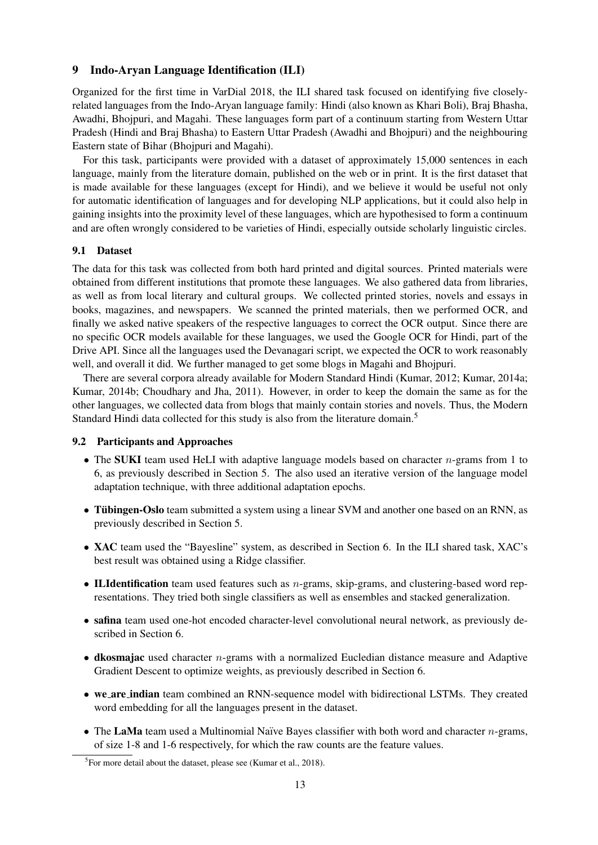#### 9 Indo-Aryan Language Identification (ILI)

Organized for the first time in VarDial 2018, the ILI shared task focused on identifying five closelyrelated languages from the Indo-Aryan language family: Hindi (also known as Khari Boli), Braj Bhasha, Awadhi, Bhojpuri, and Magahi. These languages form part of a continuum starting from Western Uttar Pradesh (Hindi and Braj Bhasha) to Eastern Uttar Pradesh (Awadhi and Bhojpuri) and the neighbouring Eastern state of Bihar (Bhojpuri and Magahi).

For this task, participants were provided with a dataset of approximately 15,000 sentences in each language, mainly from the literature domain, published on the web or in print. It is the first dataset that is made available for these languages (except for Hindi), and we believe it would be useful not only for automatic identification of languages and for developing NLP applications, but it could also help in gaining insights into the proximity level of these languages, which are hypothesised to form a continuum and are often wrongly considered to be varieties of Hindi, especially outside scholarly linguistic circles.

#### 9.1 Dataset

The data for this task was collected from both hard printed and digital sources. Printed materials were obtained from different institutions that promote these languages. We also gathered data from libraries, as well as from local literary and cultural groups. We collected printed stories, novels and essays in books, magazines, and newspapers. We scanned the printed materials, then we performed OCR, and finally we asked native speakers of the respective languages to correct the OCR output. Since there are no specific OCR models available for these languages, we used the Google OCR for Hindi, part of the Drive API. Since all the languages used the Devanagari script, we expected the OCR to work reasonably well, and overall it did. We further managed to get some blogs in Magahi and Bhojpuri.

There are several corpora already available for Modern Standard Hindi (Kumar, 2012; Kumar, 2014a; Kumar, 2014b; Choudhary and Jha, 2011). However, in order to keep the domain the same as for the other languages, we collected data from blogs that mainly contain stories and novels. Thus, the Modern Standard Hindi data collected for this study is also from the literature domain.<sup>5</sup>

#### 9.2 Participants and Approaches

- The SUKI team used HeLI with adaptive language models based on character  $n$ -grams from 1 to 6, as previously described in Section 5. The also used an iterative version of the language model adaptation technique, with three additional adaptation epochs.
- Tübingen-Oslo team submitted a system using a linear SVM and another one based on an RNN, as previously described in Section 5.
- XAC team used the "Bayesline" system, as described in Section 6. In the ILI shared task, XAC's best result was obtained using a Ridge classifier.
- ILIdentification team used features such as n-grams, skip-grams, and clustering-based word representations. They tried both single classifiers as well as ensembles and stacked generalization.
- safina team used one-hot encoded character-level convolutional neural network, as previously described in Section 6.
- $\bullet$  dkosmajac used character *n*-grams with a normalized Eucledian distance measure and Adaptive Gradient Descent to optimize weights, as previously described in Section 6.
- we are indian team combined an RNN-sequence model with bidirectional LSTMs. They created word embedding for all the languages present in the dataset.
- The LaMa team used a Multinomial Naïve Bayes classifier with both word and character  $n$ -grams, of size 1-8 and 1-6 respectively, for which the raw counts are the feature values.

 ${}^{5}$ For more detail about the dataset, please see (Kumar et al., 2018).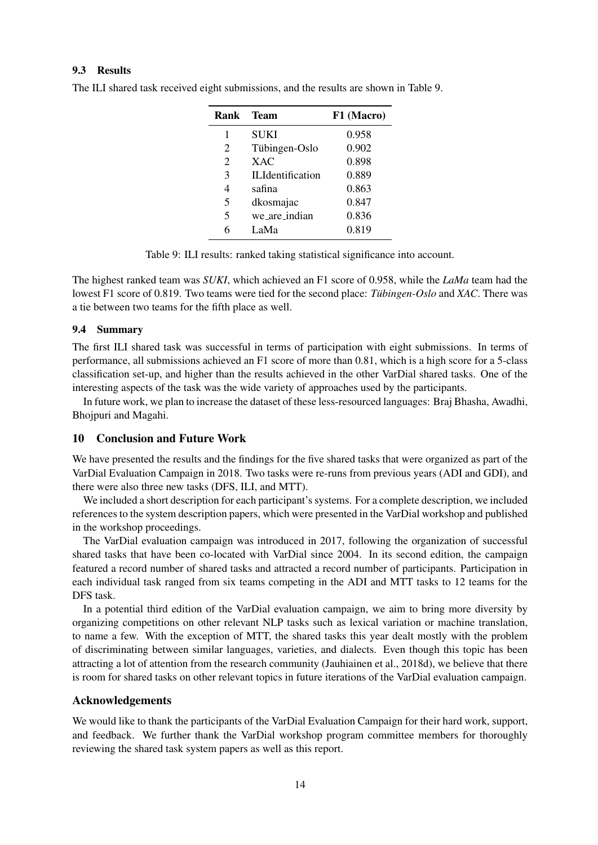| Rank           | - Team                  | F1 (Macro) |
|----------------|-------------------------|------------|
| 1              | SUKI                    | 0.958      |
| 2              | Tübingen-Oslo           | 0.902      |
| $\overline{2}$ | <b>XAC</b>              | 0.898      |
| 3              | <b>ILIdentification</b> | 0.889      |
| 4              | safina                  | 0.863      |
| 5              | dkosmajac               | 0.847      |
| 5              | we_are_indian           | 0.836      |
| 6              | LaMa                    | 0.819      |

The ILI shared task received eight submissions, and the results are shown in Table 9.

Table 9: ILI results: ranked taking statistical significance into account.

The highest ranked team was *SUKI*, which achieved an F1 score of 0.958, while the *LaMa* team had the lowest F1 score of 0.819. Two teams were tied for the second place: *Tübingen-Oslo* and *XAC*. There was a tie between two teams for the fifth place as well.

#### 9.4 Summary

The first ILI shared task was successful in terms of participation with eight submissions. In terms of performance, all submissions achieved an F1 score of more than 0.81, which is a high score for a 5-class classification set-up, and higher than the results achieved in the other VarDial shared tasks. One of the interesting aspects of the task was the wide variety of approaches used by the participants.

In future work, we plan to increase the dataset of these less-resourced languages: Braj Bhasha, Awadhi, Bhojpuri and Magahi.

### 10 Conclusion and Future Work

We have presented the results and the findings for the five shared tasks that were organized as part of the VarDial Evaluation Campaign in 2018. Two tasks were re-runs from previous years (ADI and GDI), and there were also three new tasks (DFS, ILI, and MTT).

We included a short description for each participant's systems. For a complete description, we included references to the system description papers, which were presented in the VarDial workshop and published in the workshop proceedings.

The VarDial evaluation campaign was introduced in 2017, following the organization of successful shared tasks that have been co-located with VarDial since 2004. In its second edition, the campaign featured a record number of shared tasks and attracted a record number of participants. Participation in each individual task ranged from six teams competing in the ADI and MTT tasks to 12 teams for the DFS task.

In a potential third edition of the VarDial evaluation campaign, we aim to bring more diversity by organizing competitions on other relevant NLP tasks such as lexical variation or machine translation, to name a few. With the exception of MTT, the shared tasks this year dealt mostly with the problem of discriminating between similar languages, varieties, and dialects. Even though this topic has been attracting a lot of attention from the research community (Jauhiainen et al., 2018d), we believe that there is room for shared tasks on other relevant topics in future iterations of the VarDial evaluation campaign.

#### Acknowledgements

We would like to thank the participants of the VarDial Evaluation Campaign for their hard work, support, and feedback. We further thank the VarDial workshop program committee members for thoroughly reviewing the shared task system papers as well as this report.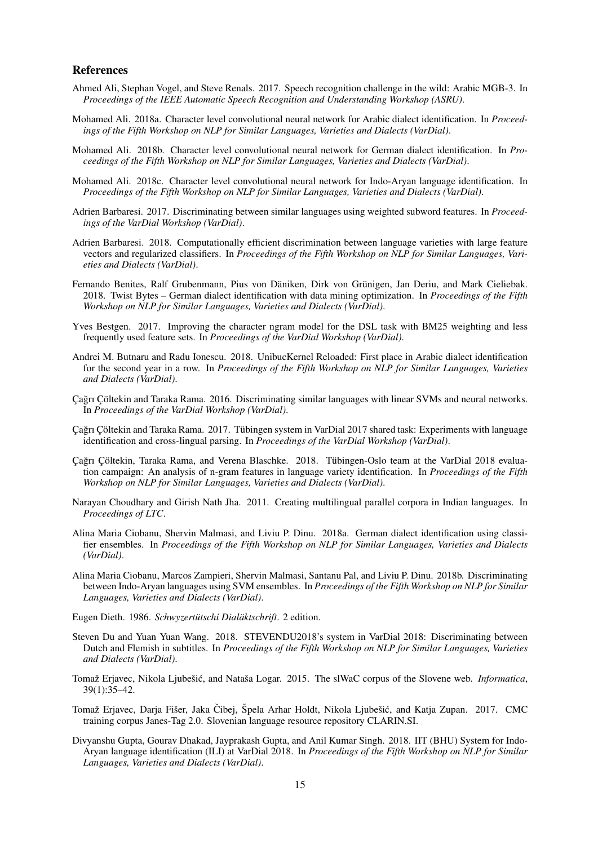#### References

- Ahmed Ali, Stephan Vogel, and Steve Renals. 2017. Speech recognition challenge in the wild: Arabic MGB-3. In *Proceedings of the IEEE Automatic Speech Recognition and Understanding Workshop (ASRU)*.
- Mohamed Ali. 2018a. Character level convolutional neural network for Arabic dialect identification. In *Proceedings of the Fifth Workshop on NLP for Similar Languages, Varieties and Dialects (VarDial)*.
- Mohamed Ali. 2018b. Character level convolutional neural network for German dialect identification. In *Proceedings of the Fifth Workshop on NLP for Similar Languages, Varieties and Dialects (VarDial)*.
- Mohamed Ali. 2018c. Character level convolutional neural network for Indo-Aryan language identification. In *Proceedings of the Fifth Workshop on NLP for Similar Languages, Varieties and Dialects (VarDial)*.
- Adrien Barbaresi. 2017. Discriminating between similar languages using weighted subword features. In *Proceedings of the VarDial Workshop (VarDial)*.
- Adrien Barbaresi. 2018. Computationally efficient discrimination between language varieties with large feature vectors and regularized classifiers. In *Proceedings of the Fifth Workshop on NLP for Similar Languages, Varieties and Dialects (VarDial)*.
- Fernando Benites, Ralf Grubenmann, Pius von Däniken, Dirk von Grünigen, Jan Deriu, and Mark Cieliebak. 2018. Twist Bytes – German dialect identification with data mining optimization. In *Proceedings of the Fifth Workshop on NLP for Similar Languages, Varieties and Dialects (VarDial)*.
- Yves Bestgen. 2017. Improving the character ngram model for the DSL task with BM25 weighting and less frequently used feature sets. In *Proceedings of the VarDial Workshop (VarDial)*.
- Andrei M. Butnaru and Radu Ionescu. 2018. UnibucKernel Reloaded: First place in Arabic dialect identification for the second year in a row. In *Proceedings of the Fifth Workshop on NLP for Similar Languages, Varieties and Dialects (VarDial)*.
- Cağrı Çöltekin and Taraka Rama. 2016. Discriminating similar languages with linear SVMs and neural networks. In *Proceedings of the VarDial Workshop (VarDial)*.
- Çağrı Çöltekin and Taraka Rama. 2017. Tübingen system in VarDial 2017 shared task: Experiments with language identification and cross-lingual parsing. In *Proceedings of the VarDial Workshop (VarDial)*.
- Cağrı Cöltekin, Taraka Rama, and Verena Blaschke. 2018. Tübingen-Oslo team at the VarDial 2018 evaluation campaign: An analysis of n-gram features in language variety identification. In *Proceedings of the Fifth Workshop on NLP for Similar Languages, Varieties and Dialects (VarDial)*.
- Narayan Choudhary and Girish Nath Jha. 2011. Creating multilingual parallel corpora in Indian languages. In *Proceedings of LTC*.
- Alina Maria Ciobanu, Shervin Malmasi, and Liviu P. Dinu. 2018a. German dialect identification using classifier ensembles. In *Proceedings of the Fifth Workshop on NLP for Similar Languages, Varieties and Dialects (VarDial)*.
- Alina Maria Ciobanu, Marcos Zampieri, Shervin Malmasi, Santanu Pal, and Liviu P. Dinu. 2018b. Discriminating between Indo-Aryan languages using SVM ensembles. In *Proceedings of the Fifth Workshop on NLP for Similar Languages, Varieties and Dialects (VarDial)*.
- Eugen Dieth. 1986. *Schwyzertütschi Dialäktschrift*. 2 edition.
- Steven Du and Yuan Yuan Wang. 2018. STEVENDU2018's system in VarDial 2018: Discriminating between Dutch and Flemish in subtitles. In *Proceedings of the Fifth Workshop on NLP for Similar Languages, Varieties and Dialects (VarDial)*.
- Tomaž Erjavec, Nikola Ljubešić, and Nataša Logar. 2015. The slWaC corpus of the Slovene web. *Informatica*, 39(1):35–42.
- Tomaž Erjavec, Darja Fišer, Jaka Čibej, Špela Arhar Holdt, Nikola Ljubešić, and Katja Zupan. 2017. CMC training corpus Janes-Tag 2.0. Slovenian language resource repository CLARIN.SI.
- Divyanshu Gupta, Gourav Dhakad, Jayprakash Gupta, and Anil Kumar Singh. 2018. IIT (BHU) System for Indo-Aryan language identification (ILI) at VarDial 2018. In *Proceedings of the Fifth Workshop on NLP for Similar Languages, Varieties and Dialects (VarDial)*.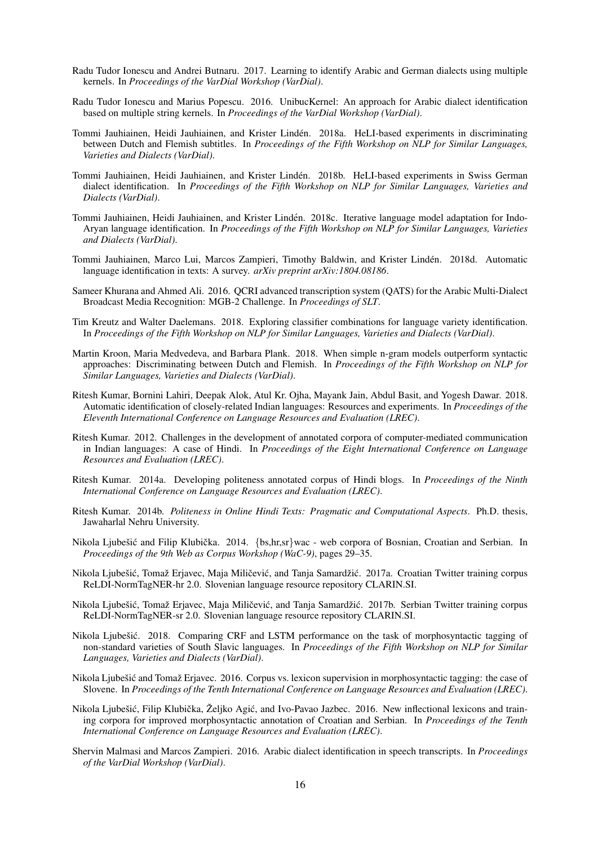- Radu Tudor Ionescu and Andrei Butnaru. 2017. Learning to identify Arabic and German dialects using multiple kernels. In *Proceedings of the VarDial Workshop (VarDial)*.
- Radu Tudor Ionescu and Marius Popescu. 2016. UnibucKernel: An approach for Arabic dialect identification based on multiple string kernels. In *Proceedings of the VarDial Workshop (VarDial)*.
- Tommi Jauhiainen, Heidi Jauhiainen, and Krister Linden. 2018a. HeLI-based experiments in discriminating ´ between Dutch and Flemish subtitles. In *Proceedings of the Fifth Workshop on NLP for Similar Languages, Varieties and Dialects (VarDial)*.
- Tommi Jauhiainen, Heidi Jauhiainen, and Krister Linden. 2018b. HeLI-based experiments in Swiss German ´ dialect identification. In *Proceedings of the Fifth Workshop on NLP for Similar Languages, Varieties and Dialects (VarDial)*.
- Tommi Jauhiainen, Heidi Jauhiainen, and Krister Linden. 2018c. Iterative language model adaptation for Indo- ´ Aryan language identification. In *Proceedings of the Fifth Workshop on NLP for Similar Languages, Varieties and Dialects (VarDial)*.
- Tommi Jauhiainen, Marco Lui, Marcos Zampieri, Timothy Baldwin, and Krister Linden. 2018d. Automatic ´ language identification in texts: A survey. *arXiv preprint arXiv:1804.08186*.
- Sameer Khurana and Ahmed Ali. 2016. QCRI advanced transcription system (QATS) for the Arabic Multi-Dialect Broadcast Media Recognition: MGB-2 Challenge. In *Proceedings of SLT*.
- Tim Kreutz and Walter Daelemans. 2018. Exploring classifier combinations for language variety identification. In *Proceedings of the Fifth Workshop on NLP for Similar Languages, Varieties and Dialects (VarDial)*.
- Martin Kroon, Maria Medvedeva, and Barbara Plank. 2018. When simple n-gram models outperform syntactic approaches: Discriminating between Dutch and Flemish. In *Proceedings of the Fifth Workshop on NLP for Similar Languages, Varieties and Dialects (VarDial)*.
- Ritesh Kumar, Bornini Lahiri, Deepak Alok, Atul Kr. Ojha, Mayank Jain, Abdul Basit, and Yogesh Dawar. 2018. Automatic identification of closely-related Indian languages: Resources and experiments. In *Proceedings of the Eleventh International Conference on Language Resources and Evaluation (LREC)*.
- Ritesh Kumar. 2012. Challenges in the development of annotated corpora of computer-mediated communication in Indian languages: A case of Hindi. In *Proceedings of the Eight International Conference on Language Resources and Evaluation (LREC)*.
- Ritesh Kumar. 2014a. Developing politeness annotated corpus of Hindi blogs. In *Proceedings of the Ninth International Conference on Language Resources and Evaluation (LREC)*.
- Ritesh Kumar. 2014b. *Politeness in Online Hindi Texts: Pragmatic and Computational Aspects*. Ph.D. thesis, Jawaharlal Nehru University.
- Nikola Ljubešić and Filip Klubička. 2014. {bs,hr,sr}wac web corpora of Bosnian, Croatian and Serbian. In *Proceedings of the 9th Web as Corpus Workshop (WaC-9)*, pages 29–35.
- Nikola Ljubešić, Tomaž Erjavec, Maja Miličević, and Tanja Samardžić. 2017a. Croatian Twitter training corpus ReLDI-NormTagNER-hr 2.0. Slovenian language resource repository CLARIN.SI.
- Nikola Ljubešić, Tomaž Erjavec, Maja Miličević, and Tanja Samardžić. 2017b. Serbian Twitter training corpus ReLDI-NormTagNER-sr 2.0. Slovenian language resource repository CLARIN.SI.
- Nikola Ljubešić. 2018. Comparing CRF and LSTM performance on the task of morphosyntactic tagging of non-standard varieties of South Slavic languages. In *Proceedings of the Fifth Workshop on NLP for Similar Languages, Varieties and Dialects (VarDial)*.
- Nikola Ljubešić and Tomaž Erjavec. 2016. Corpus vs. lexicon supervision in morphosyntactic tagging: the case of Slovene. In *Proceedings of the Tenth International Conference on Language Resources and Evaluation (LREC)*.
- Nikola Ljubešić, Filip Klubička, Željko Agić, and Ivo-Pavao Jazbec. 2016. New inflectional lexicons and training corpora for improved morphosyntactic annotation of Croatian and Serbian. In *Proceedings of the Tenth International Conference on Language Resources and Evaluation (LREC)*.
- Shervin Malmasi and Marcos Zampieri. 2016. Arabic dialect identification in speech transcripts. In *Proceedings of the VarDial Workshop (VarDial)*.